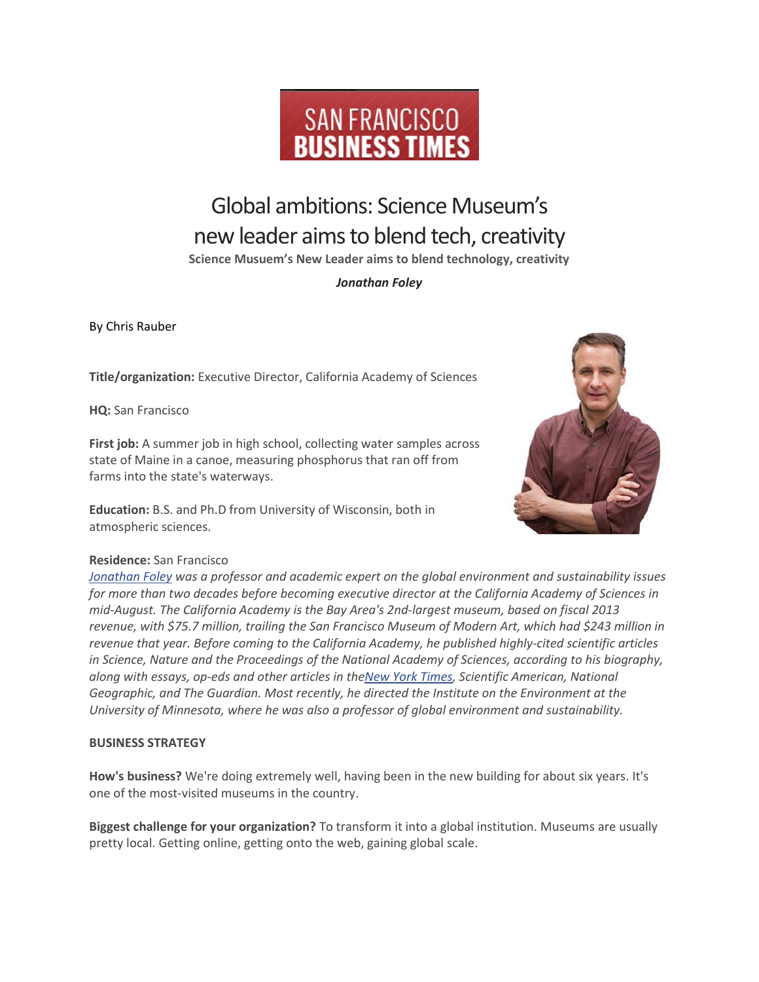

# Global ambitions: Science Museum's new leader aims to blend tech, creativity

**Science Musuem's New Leader aims to blend technology, creativity**

## *Jonathan Foley*

By Chris Rauber

**Title/organization:** Executive Director, California Academy of Sciences

**HQ:** San Francisco

**First job:** A summer job in high school, collecting water samples across state of Maine in a canoe, measuring phosphorus that ran off from farms into the state's waterways.

**Education:** B.S. and Ph.D from University of Wisconsin, both in atmospheric sciences.



## **Residence:** San Francisco

*[Jonathan](http://www.bizjournals.com/sanfrancisco/search/results?q=Jonathan%20Foley) Foley was a professor and academic expert on the global environment and sustainability issues for more than two decades before becoming executive director at the California Academy of Sciences in mid-August. The California Academy is the Bay Area's 2nd-largest museum, based on fiscal 2013 revenue, with \$75.7 million, trailing the San Francisco Museum of Modern Art, which had \$243 million in revenue that year. Before coming to the California Academy, he published highly-cited scientific articles in Science, Nature and the Proceedings of the National Academy of Sciences, according to his biography, along with essays, op-eds and other articles in theNew York [Times,](http://www.bizjournals.com/profiles/company/us/ny/new_york/the_new_york_times_company/117863) Scientific American, National Geographic, and The Guardian. Most recently, he directed the Institute on the Environment at the University of Minnesota, where he was also a professor of global environment and sustainability.*

## **BUSINESS STRATEGY**

**How's business?** We're doing extremely well, having been in the new building for about six years. It's one of the most-visited museums in the country.

**Biggest challenge for your organization?** To transform it into a global institution. Museums are usually pretty local. Getting online, getting onto the web, gaining global scale.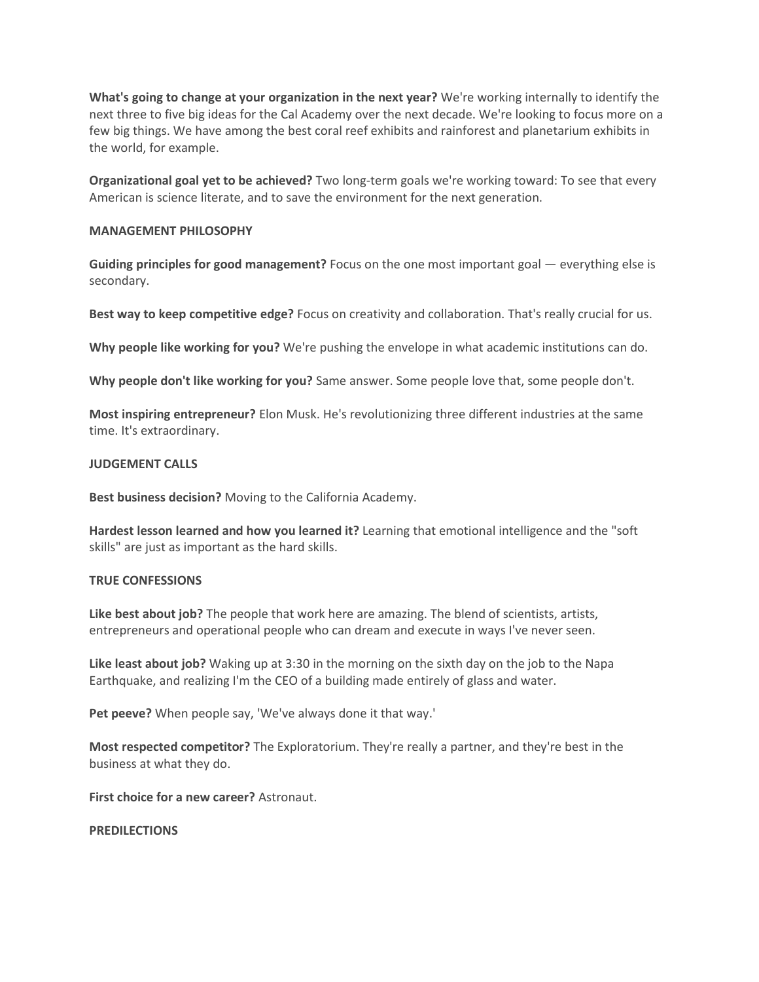**What's going to change at your organization in the next year?** We're working internally to identify the next three to five big ideas for the Cal Academy over the next decade. We're looking to focus more on a few big things. We have among the best coral reef exhibits and rainforest and planetarium exhibits in the world, for example.

**Organizational goal yet to be achieved?** Two long-term goals we're working toward: To see that every American is science literate, and to save the environment for the next generation.

#### **MANAGEMENT PHILOSOPHY**

**Guiding principles for good management?** Focus on the one most important goal — everything else is secondary.

**Best way to keep competitive edge?** Focus on creativity and collaboration. That's really crucial for us.

**Why people like working for you?** We're pushing the envelope in what academic institutions can do.

**Why people don't like working for you?** Same answer. Some people love that, some people don't.

**Most inspiring entrepreneur?** Elon Musk. He's revolutionizing three different industries at the same time. It's extraordinary.

#### **JUDGEMENT CALLS**

**Best business decision?** Moving to the California Academy.

**Hardest lesson learned and how you learned it?** Learning that emotional intelligence and the "soft skills" are just as important as the hard skills.

### **TRUE CONFESSIONS**

**Like best about job?** The people that work here are amazing. The blend of scientists, artists, entrepreneurs and operational people who can dream and execute in ways I've never seen.

**Like least about job?** Waking up at 3:30 in the morning on the sixth day on the job to the Napa Earthquake, and realizing I'm the CEO of a building made entirely of glass and water.

**Pet peeve?** When people say, 'We've always done it that way.'

**Most respected competitor?** The Exploratorium. They're really a partner, and they're best in the business at what they do.

**First choice for a new career?** Astronaut.

**PREDILECTIONS**